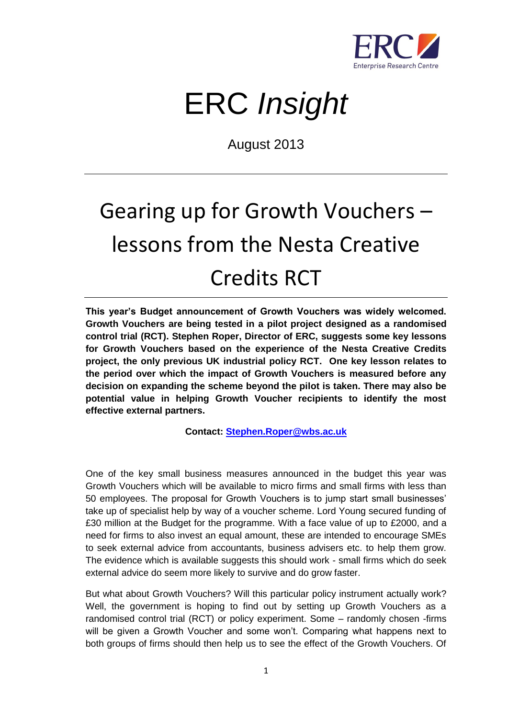

## ERC *Insight*

August 2013

## Gearing up for Growth Vouchers – lessons from the Nesta Creative Credits RCT

**This year's Budget announcement of Growth Vouchers was widely welcomed. Growth Vouchers are being tested in a pilot project designed as a randomised control trial (RCT). Stephen Roper, Director of ERC, suggests some key lessons for Growth Vouchers based on the experience of the Nesta Creative Credits project, the only previous UK industrial policy RCT. One key lesson relates to the period over which the impact of Growth Vouchers is measured before any decision on expanding the scheme beyond the pilot is taken. There may also be potential value in helping Growth Voucher recipients to identify the most effective external partners.** 

**Contact: [Stephen.Roper@wbs.ac.uk](mailto:Stephen.Roper@wbs.ac.uk)**

One of the key small business measures announced in the budget this year was Growth Vouchers which will be available to micro firms and small firms with less than 50 employees. The proposal for Growth Vouchers is to jump start small businesses' take up of specialist help by way of a voucher scheme. Lord Young secured funding of £30 million at the Budget for the programme. With a face value of up to £2000, and a need for firms to also invest an equal amount, these are intended to encourage SMEs to seek external advice from accountants, business advisers etc. to help them grow. The evidence which is available suggests this should work - small firms which do seek external advice do seem more likely to survive and do grow faster.

But what about Growth Vouchers? Will this particular policy instrument actually work? Well, the government is hoping to find out by setting up Growth Vouchers as a randomised control trial (RCT) or policy experiment. Some – randomly chosen -firms will be given a Growth Voucher and some won't. Comparing what happens next to both groups of firms should then help us to see the effect of the Growth Vouchers. Of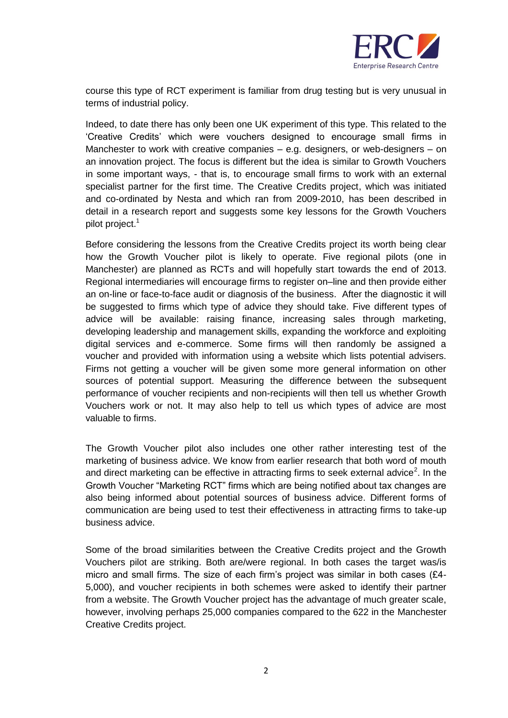

course this type of RCT experiment is familiar from drug testing but is very unusual in terms of industrial policy.

Indeed, to date there has only been one UK experiment of this type. This related to the 'Creative Credits' which were vouchers designed to encourage small firms in Manchester to work with creative companies – e.g. designers, or web-designers – on an innovation project. The focus is different but the idea is similar to Growth Vouchers in some important ways, - that is, to encourage small firms to work with an external specialist partner for the first time. The Creative Credits project, which was initiated and co-ordinated by Nesta and which ran from 2009-2010, has been described in detail in a research report and suggests some key lessons for the Growth Vouchers pilot project.<sup>1</sup>

Before considering the lessons from the Creative Credits project its worth being clear how the Growth Voucher pilot is likely to operate. Five regional pilots (one in Manchester) are planned as RCTs and will hopefully start towards the end of 2013. Regional intermediaries will encourage firms to register on–line and then provide either an on-line or face-to-face audit or diagnosis of the business. After the diagnostic it will be suggested to firms which type of advice they should take. Five different types of advice will be available: raising finance, increasing sales through marketing, developing leadership and management skills, expanding the workforce and exploiting digital services and e-commerce. Some firms will then randomly be assigned a voucher and provided with information using a website which lists potential advisers. Firms not getting a voucher will be given some more general information on other sources of potential support. Measuring the difference between the subsequent performance of voucher recipients and non-recipients will then tell us whether Growth Vouchers work or not. It may also help to tell us which types of advice are most valuable to firms.

The Growth Voucher pilot also includes one other rather interesting test of the marketing of business advice. We know from earlier research that both word of mouth and direct marketing can be effective in attracting firms to seek external advice<sup>2</sup>. In the Growth Voucher "Marketing RCT" firms which are being notified about tax changes are also being informed about potential sources of business advice. Different forms of communication are being used to test their effectiveness in attracting firms to take-up business advice.

Some of the broad similarities between the Creative Credits project and the Growth Vouchers pilot are striking. Both are/were regional. In both cases the target was/is micro and small firms. The size of each firm's project was similar in both cases (£4- 5,000), and voucher recipients in both schemes were asked to identify their partner from a website. The Growth Voucher project has the advantage of much greater scale, however, involving perhaps 25,000 companies compared to the 622 in the Manchester Creative Credits project.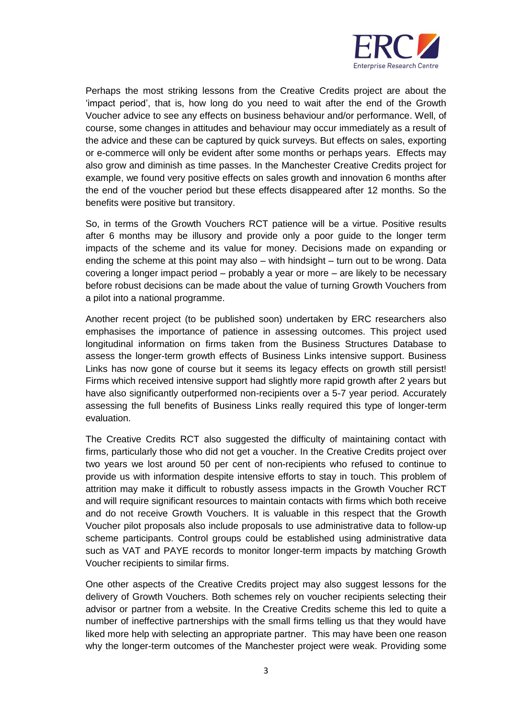

Perhaps the most striking lessons from the Creative Credits project are about the 'impact period', that is, how long do you need to wait after the end of the Growth Voucher advice to see any effects on business behaviour and/or performance. Well, of course, some changes in attitudes and behaviour may occur immediately as a result of the advice and these can be captured by quick surveys. But effects on sales, exporting or e-commerce will only be evident after some months or perhaps years. Effects may also grow and diminish as time passes. In the Manchester Creative Credits project for example, we found very positive effects on sales growth and innovation 6 months after the end of the voucher period but these effects disappeared after 12 months. So the benefits were positive but transitory.

So, in terms of the Growth Vouchers RCT patience will be a virtue. Positive results after 6 months may be illusory and provide only a poor guide to the longer term impacts of the scheme and its value for money. Decisions made on expanding or ending the scheme at this point may also – with hindsight – turn out to be wrong. Data covering a longer impact period – probably a year or more – are likely to be necessary before robust decisions can be made about the value of turning Growth Vouchers from a pilot into a national programme.

Another recent project (to be published soon) undertaken by ERC researchers also emphasises the importance of patience in assessing outcomes. This project used longitudinal information on firms taken from the Business Structures Database to assess the longer-term growth effects of Business Links intensive support. Business Links has now gone of course but it seems its legacy effects on growth still persist! Firms which received intensive support had slightly more rapid growth after 2 years but have also significantly outperformed non-recipients over a 5-7 year period. Accurately assessing the full benefits of Business Links really required this type of longer-term evaluation.

The Creative Credits RCT also suggested the difficulty of maintaining contact with firms, particularly those who did not get a voucher. In the Creative Credits project over two years we lost around 50 per cent of non-recipients who refused to continue to provide us with information despite intensive efforts to stay in touch. This problem of attrition may make it difficult to robustly assess impacts in the Growth Voucher RCT and will require significant resources to maintain contacts with firms which both receive and do not receive Growth Vouchers. It is valuable in this respect that the Growth Voucher pilot proposals also include proposals to use administrative data to follow-up scheme participants. Control groups could be established using administrative data such as VAT and PAYE records to monitor longer-term impacts by matching Growth Voucher recipients to similar firms.

One other aspects of the Creative Credits project may also suggest lessons for the delivery of Growth Vouchers. Both schemes rely on voucher recipients selecting their advisor or partner from a website. In the Creative Credits scheme this led to quite a number of ineffective partnerships with the small firms telling us that they would have liked more help with selecting an appropriate partner. This may have been one reason why the longer-term outcomes of the Manchester project were weak. Providing some